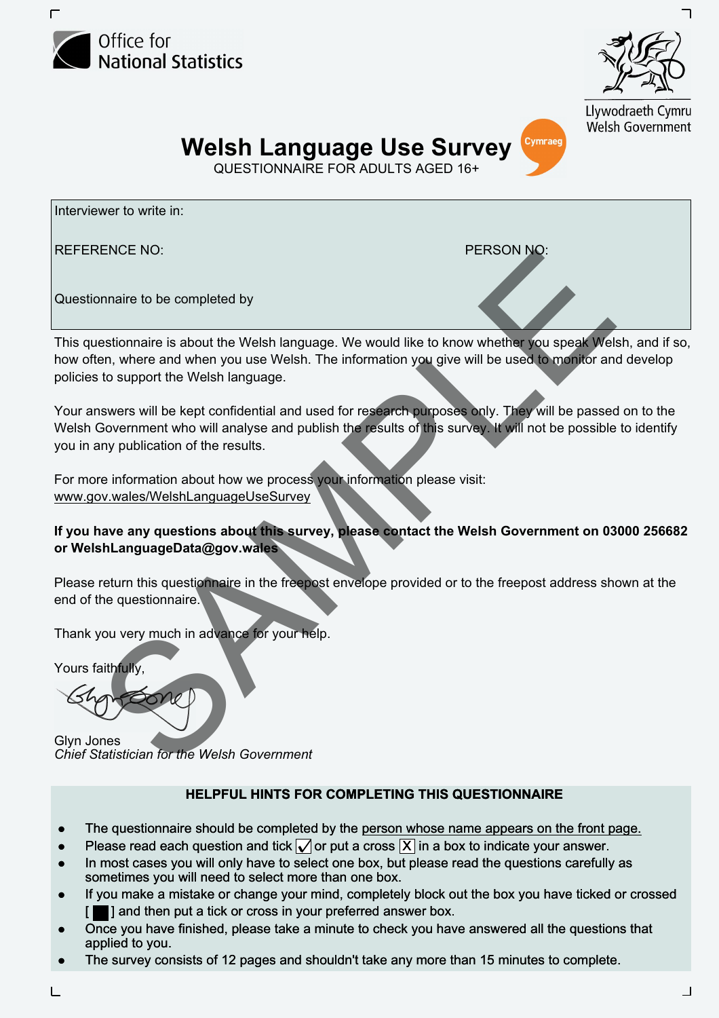



Llywodraeth Cymru **Welsh Government** 

Cymraeg **Welsh Language Use Survey** 

QUESTIONNAIRE FOR ADULTS AGED 16+

Interviewer to write in:

REFERENCE NO: PERSON NO:

Questionnaire to be completed by

ENCE NO:<br>
Somalize to be completed by<br>
the completed by<br>
the complete of when any out use Wests. The information you give will be used to monitor and<br>
to support the Welsh language. We would like to know whether you speak This questionnaire is about the Welsh language. We would like to know whether you speak Welsh, and if so, how often, where and when you use Welsh. The information you give will be used to monitor and develop policies to support the Welsh language.

Your answers will be kept confidential and used for research purposes only. They will be passed on to the Welsh Government who will analyse and publish the results of this survey. It will not be possible to identify you in any publication of the results.

For more information about how we process your information please visit: <www.gov.wales/WelshLanguageUseSurvey>

#### **If you have any questions about this survey, please contact the Welsh Government on 03000 256682 or [WelshLanguageData@gov.wales](mailto:WelshLanguageData@gov.wales)**

Please return this questionnaire in the freepost envelope provided or to the freepost address shown at the end of the questionnaire.

Thank you very much in advance for your help.

Yours faithfully,

Glyn Jones *Chief Statistician for the Welsh Government* 

#### **HELPFUL HINTS FOR COMPLETING THIS QUESTIONNAIRE QUESTIONNAIRE**

- The questionnaire should be completed by the person whose name appears on the front page.
- The questionnaire should be completed by the <u>person whose name appears on the front portourned and</u>  $\bullet$  Please read each question and tick  $\sqrt{\ }$  or put a cross  $\boxed{X}$  in a box to indicate your answer.
- In most cases you will only have to select one box, but please read the questions carefully as sometimes you will need to select more than one box.
- If you make a mistake or change your mind, completely block out the box you have ticked or crossed [ $\blacksquare$ ] and then put a tick or cross in your preferred answer box.
- Once you have finished, please take a minute to check you have answered all the questions that applied to you.
- The survey consists of 12 pages and shouldn't take any more than 15 minutes to complete.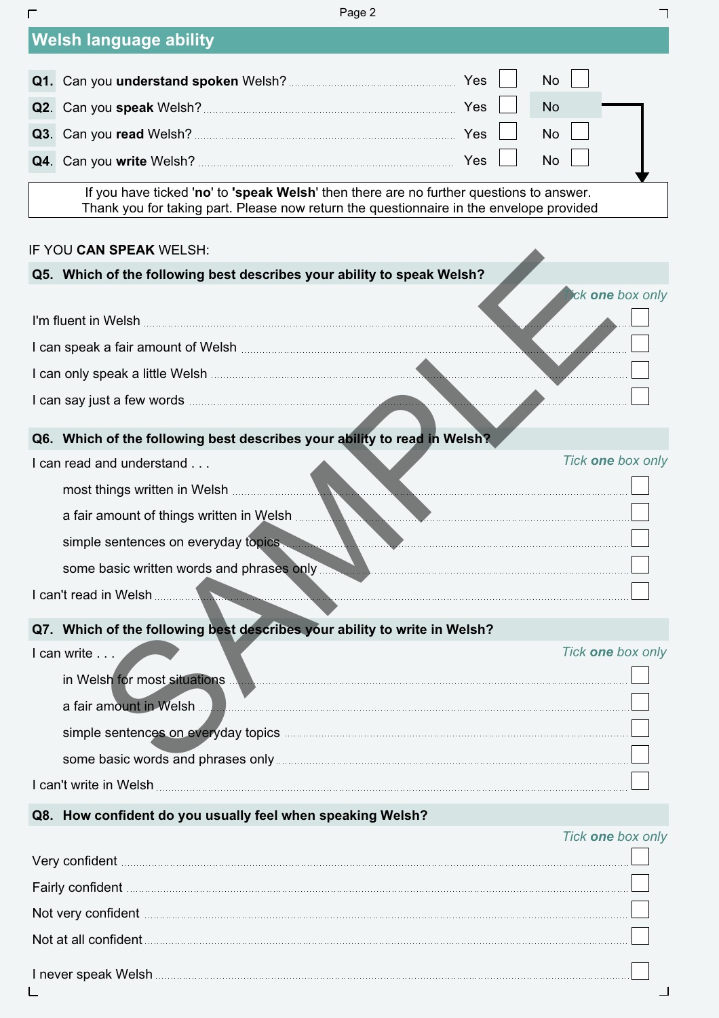| Г | Page 2                                                                                                                                                                                                                               |     |           |                   |
|---|--------------------------------------------------------------------------------------------------------------------------------------------------------------------------------------------------------------------------------------|-----|-----------|-------------------|
|   | <b>Welsh language ability</b>                                                                                                                                                                                                        |     |           |                   |
|   |                                                                                                                                                                                                                                      |     | No        |                   |
|   |                                                                                                                                                                                                                                      |     | No        |                   |
|   |                                                                                                                                                                                                                                      |     | No        |                   |
|   |                                                                                                                                                                                                                                      | Yes | <b>No</b> |                   |
|   | If you have ticked 'no' to 'speak Welsh' then there are no further questions to answer.<br>Thank you for taking part. Please now return the questionnaire in the envelope provided                                                   |     |           |                   |
|   | IF YOU CAN SPEAK WELSH:                                                                                                                                                                                                              |     |           |                   |
|   | Q5. Which of the following best describes your ability to speak Welsh?                                                                                                                                                               |     |           |                   |
|   | I'm fluent in Welsh <b>Commission and Commission</b> and Commission and Commission and Commission and Commission and Co                                                                                                              |     |           | ick one box only  |
|   |                                                                                                                                                                                                                                      |     |           |                   |
|   | I can only speak a little Welsh <b>Commission and Contract and Contract and Commission</b>                                                                                                                                           |     |           |                   |
|   |                                                                                                                                                                                                                                      |     |           |                   |
|   | Q6. Which of the following best describes your ability to read in Welsh?                                                                                                                                                             |     |           |                   |
|   | I can read and understand                                                                                                                                                                                                            |     |           | Tick one box only |
|   |                                                                                                                                                                                                                                      |     |           |                   |
|   | a fair amount of things written in Welsh                                                                                                                                                                                             |     |           |                   |
|   | simple sentences on everyday topics                                                                                                                                                                                                  |     |           |                   |
|   | some basic written words and phrases only <b>was an accommodate only and accommodate the set of the set of the set of the set of the set of the set of the set of the set of the set of the set of the set of the set of the set</b> |     |           |                   |
|   | I can't read in Welsh<br>and the contract                                                                                                                                                                                            |     |           |                   |
|   | Q7. Which of the following best describes your ability to write in Welsh?                                                                                                                                                            |     |           |                   |
|   | I can write                                                                                                                                                                                                                          |     |           | Tick one box only |
|   | in Welsh for most situations <b>Manual</b>                                                                                                                                                                                           |     |           |                   |
|   | a fair amount in Welsh.                                                                                                                                                                                                              |     |           |                   |
|   |                                                                                                                                                                                                                                      |     |           |                   |
|   |                                                                                                                                                                                                                                      |     |           |                   |
|   |                                                                                                                                                                                                                                      |     |           |                   |
|   | Q8. How confident do you usually feel when speaking Welsh?                                                                                                                                                                           |     |           |                   |
|   |                                                                                                                                                                                                                                      |     |           | Tick one box only |

| Very confident <b>confident</b> and continues and continues are all the confident of the confident of the continues of the continues of the continues of the continues of the continues of the continues of the continues of the co  |  |
|--------------------------------------------------------------------------------------------------------------------------------------------------------------------------------------------------------------------------------------|--|
| Fairly confident <b>confident</b> and confident and continuum control of the set of the set of the set of the set of the set of the set of the set of the set of the set of the set of the set of the set of the set of the set of   |  |
| Not very confident <b>continuum continuum control of the control of the control of the continuum control of the control of the control of the control of the control of the control of the control of the control of the control</b> |  |
|                                                                                                                                                                                                                                      |  |
|                                                                                                                                                                                                                                      |  |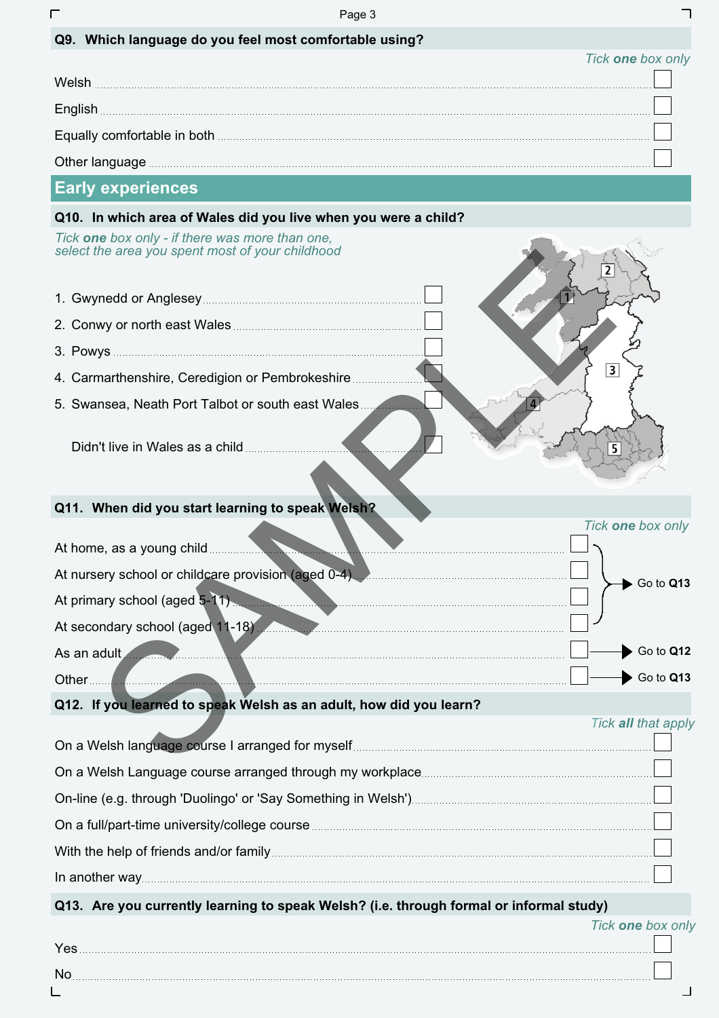|                                                                                                     | Page 3                                                                                                                                                                                                                                           |
|-----------------------------------------------------------------------------------------------------|--------------------------------------------------------------------------------------------------------------------------------------------------------------------------------------------------------------------------------------------------|
| Q9. Which language do you feel most comfortable using?                                              |                                                                                                                                                                                                                                                  |
|                                                                                                     | Tick one box only                                                                                                                                                                                                                                |
|                                                                                                     |                                                                                                                                                                                                                                                  |
|                                                                                                     |                                                                                                                                                                                                                                                  |
|                                                                                                     | Equally comfortable in both <b>contract of the contract of the contract of the contract of the contract of the contract of the contract of the contract of the contract of the contract of the contract of the contract of the c</b>             |
|                                                                                                     |                                                                                                                                                                                                                                                  |
| <b>Early experiences</b>                                                                            |                                                                                                                                                                                                                                                  |
| Q10. In which area of Wales did you live when you were a child?                                     |                                                                                                                                                                                                                                                  |
| Tick one box only - if there was more than one,<br>select the area you spent most of your childhood |                                                                                                                                                                                                                                                  |
|                                                                                                     |                                                                                                                                                                                                                                                  |
|                                                                                                     |                                                                                                                                                                                                                                                  |
|                                                                                                     |                                                                                                                                                                                                                                                  |
| 4. Carmarthenshire, Ceredigion or Pembrokeshire                                                     | $\overline{\mathbf{3}}$                                                                                                                                                                                                                          |
| 5. Swansea, Neath Port Talbot or south east Wales                                                   |                                                                                                                                                                                                                                                  |
|                                                                                                     |                                                                                                                                                                                                                                                  |
|                                                                                                     |                                                                                                                                                                                                                                                  |
| Q11. When did you start learning to speak Welsh?                                                    |                                                                                                                                                                                                                                                  |
|                                                                                                     | Tick one box only                                                                                                                                                                                                                                |
|                                                                                                     |                                                                                                                                                                                                                                                  |
|                                                                                                     | At nursery school or childcare provision (aged 0-4) Manufacture and Delta Control 1000 Manufacture 2011<br>Go to Q13                                                                                                                             |
|                                                                                                     | At primary school (aged 5-11)                                                                                                                                                                                                                    |
|                                                                                                     | At secondary school (aged 11-18)                                                                                                                                                                                                                 |
|                                                                                                     | Go to Q12<br>As an adult and the contract of the contract of the contract of the contract of the contract of the contract of                                                                                                                     |
|                                                                                                     | Go to Q13<br>Other <u>2006</u> - 2007 - 2008 - 2009 - 2010 - 2010 - 2010 - 2010 - 2010 - 2010 - 2010 - 2010 - 2010 - 2010 - 2010 - 2010 - 2010 - 2010 - 2010 - 2010 - 2010 - 2010 - 2010 - 2010 - 2010 - 2010 - 2010 - 2010 - 2010 - 2010 - 2010 |
| Q12. If you learned to speak Welsh as an adult, how did you learn?                                  |                                                                                                                                                                                                                                                  |
|                                                                                                     | Tick all that apply                                                                                                                                                                                                                              |
|                                                                                                     |                                                                                                                                                                                                                                                  |
|                                                                                                     |                                                                                                                                                                                                                                                  |
|                                                                                                     | On a full/part-time university/college course <b>manufactures</b> and the control of the control of the control of the control of the control of the control of the control of the control of the control of the control of the con              |
|                                                                                                     |                                                                                                                                                                                                                                                  |
|                                                                                                     |                                                                                                                                                                                                                                                  |
|                                                                                                     |                                                                                                                                                                                                                                                  |
|                                                                                                     | Q13. Are you currently learning to speak Welsh? (i.e. through formal or informal study)<br>Tick one box only                                                                                                                                     |

| 'es |  |
|-----|--|
| No  |  |
|     |  |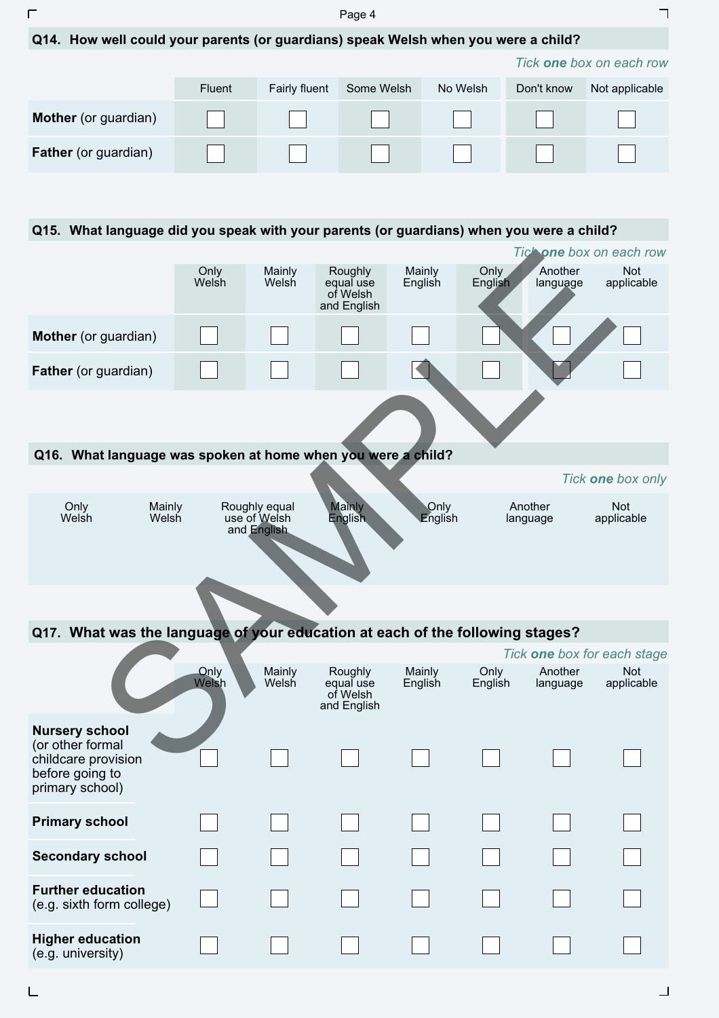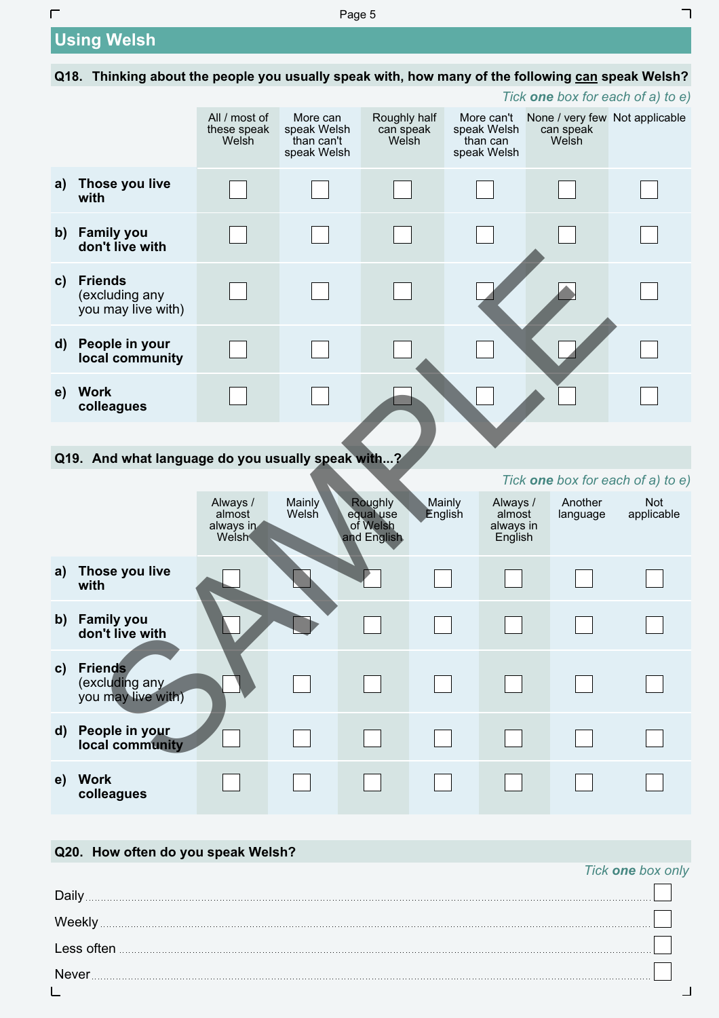# **Using Welsh**

 $\Gamma$ 

## **Q18. Thinking about the people you usually speak with, how many of the following can speak Welsh?**

|              |                                                        |                                                 |                                                      |                                                 |                   |                                                      |                                                      | Tick <b>one</b> box for each of a) to e) |
|--------------|--------------------------------------------------------|-------------------------------------------------|------------------------------------------------------|-------------------------------------------------|-------------------|------------------------------------------------------|------------------------------------------------------|------------------------------------------|
|              |                                                        | All / most of<br>these speak<br>Welsh           | More can<br>speak Welsh<br>than can't<br>speak Welsh | Roughly half<br>can speak<br>Welsh              |                   | More can't<br>speak Welsh<br>than can<br>speak Welsh | None / very few Not applicable<br>can speak<br>Welsh |                                          |
| a)           | Those you live<br>with                                 |                                                 |                                                      |                                                 |                   |                                                      |                                                      |                                          |
| $\mathsf{b}$ | <b>Family you</b><br>don't live with                   |                                                 |                                                      |                                                 |                   |                                                      |                                                      |                                          |
| $\mathbf{c}$ | <b>Friends</b><br>(excluding any<br>you may live with) |                                                 |                                                      |                                                 |                   |                                                      |                                                      |                                          |
| $\mathsf{d}$ | People in your<br>local community                      |                                                 |                                                      |                                                 |                   |                                                      |                                                      |                                          |
| e)           | <b>Work</b><br>colleagues                              |                                                 |                                                      |                                                 |                   |                                                      |                                                      |                                          |
|              |                                                        |                                                 |                                                      |                                                 |                   |                                                      |                                                      |                                          |
|              | Q19. And what language do you usually speak with?      |                                                 |                                                      |                                                 |                   |                                                      |                                                      |                                          |
|              |                                                        |                                                 |                                                      |                                                 |                   |                                                      |                                                      | Tick one box for each of a) to e)        |
|              |                                                        | Always /<br>almost<br>always in<br><b>Welsh</b> | <b>Mainly</b><br>Welsh                               | Roughly<br>equal use<br>of Welsh<br>and English | Mainly<br>English | Always /<br>almost<br>always in<br>English           | Another<br>language                                  | <b>Not</b><br>applicable                 |
| a)           | Those you live<br>with                                 |                                                 |                                                      |                                                 |                   |                                                      |                                                      |                                          |
| b)           | <b>Family you</b><br>don't live with                   |                                                 |                                                      |                                                 |                   |                                                      |                                                      |                                          |
| $\mathbf{c}$ | <b>Friends</b><br>(excluding any<br>you may live with) |                                                 |                                                      |                                                 |                   |                                                      |                                                      |                                          |
| $\mathsf{d}$ | People in your<br>local community                      |                                                 |                                                      |                                                 |                   |                                                      |                                                      |                                          |
| e)           | <b>Work</b><br>colleagues                              |                                                 |                                                      |                                                 |                   |                                                      |                                                      |                                          |

## **Q20. How often do you speak Welsh?**

## Daily Weekly **Motor Weekly Weekly Weekly Weekly Weekly Weekly Weekly Weekly Weekly Weekly Weekly Weekly Weekly Weekly Weekly Weekly Weekly Weekly Weekly Weekly Weekly Weekly Weekly** Less often Never L  $\overline{\phantom{0}}$

┑

*Tick one box only*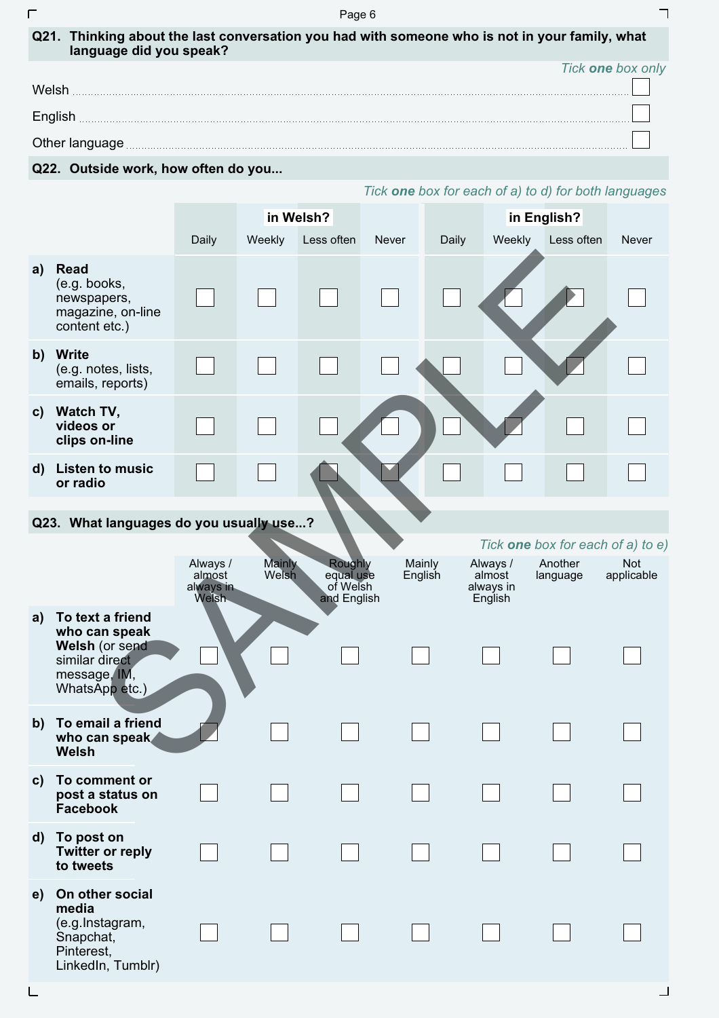| ┍            | Page 6                                                                                                                    |                                           |                        |                                                 |              |                   |                                            |                                                      |                   |  |
|--------------|---------------------------------------------------------------------------------------------------------------------------|-------------------------------------------|------------------------|-------------------------------------------------|--------------|-------------------|--------------------------------------------|------------------------------------------------------|-------------------|--|
|              | Q21. Thinking about the last conversation you had with someone who is not in your family, what<br>language did you speak? |                                           |                        |                                                 |              |                   |                                            |                                                      |                   |  |
|              | Tick one box only                                                                                                         |                                           |                        |                                                 |              |                   |                                            |                                                      |                   |  |
|              |                                                                                                                           |                                           |                        |                                                 |              |                   |                                            |                                                      |                   |  |
|              | English                                                                                                                   |                                           |                        |                                                 |              |                   |                                            |                                                      |                   |  |
|              |                                                                                                                           |                                           |                        |                                                 |              |                   |                                            |                                                      |                   |  |
|              | Q22. Outside work, how often do you                                                                                       |                                           |                        |                                                 |              |                   |                                            | Tick one box for each of a) to d) for both languages |                   |  |
|              |                                                                                                                           |                                           |                        | in Welsh?                                       |              |                   |                                            |                                                      |                   |  |
|              |                                                                                                                           | Daily                                     | Weekly                 | Less often                                      | <b>Never</b> | Daily             |                                            | in English?<br>Weekly Less often                     | <b>Never</b>      |  |
| a)           | <b>Read</b>                                                                                                               |                                           |                        |                                                 |              |                   |                                            |                                                      |                   |  |
|              | (e.g. books,<br>newspapers,<br>magazine, on-line<br>content etc.)                                                         |                                           |                        |                                                 |              |                   |                                            |                                                      |                   |  |
| $\mathbf{b}$ | Write<br>(e.g. notes, lists,<br>emails, reports)                                                                          |                                           |                        |                                                 |              |                   |                                            |                                                      |                   |  |
| $\mathbf{c}$ | Watch TV,<br>videos or<br>clips on-line                                                                                   |                                           |                        |                                                 |              |                   |                                            |                                                      |                   |  |
| $\mathbf{d}$ | <b>Listen to music</b><br>or radio                                                                                        |                                           |                        |                                                 |              |                   |                                            |                                                      |                   |  |
|              | Q23. What languages do you usually use?                                                                                   |                                           |                        |                                                 |              |                   |                                            |                                                      |                   |  |
|              |                                                                                                                           |                                           |                        |                                                 |              |                   |                                            | Tick <b>one</b> box for each of a) to e)             |                   |  |
|              |                                                                                                                           | Always /<br>almost<br>always in<br>Welsh. | <b>Mainly</b><br>Welsh | Roughly<br>equal use<br>of Welsh<br>and English |              | Mainly<br>English | Always /<br>almost<br>always in<br>English | Another<br>language                                  | Not<br>applicable |  |
| a)           | To text a friend<br>who can speak<br>Welsh (or send<br>similar direct<br>message, IM,<br>WhatsApp etc.)                   |                                           |                        |                                                 |              |                   |                                            |                                                      |                   |  |
| b)           | To email a friend<br>who can speak<br>Welsh                                                                               |                                           |                        |                                                 |              |                   |                                            |                                                      |                   |  |

## **Q23. What languages do you usually use...?**

 $\overline{L}$ 

|              |                                                                                                         |                                                 |                        |                                                        |                   |                                            |                     | Tick <b>one</b> box for each of a) to e) |
|--------------|---------------------------------------------------------------------------------------------------------|-------------------------------------------------|------------------------|--------------------------------------------------------|-------------------|--------------------------------------------|---------------------|------------------------------------------|
|              |                                                                                                         | Always /<br>almost<br>always in<br><b>Weish</b> | <b>Mainly</b><br>Welsh | <b>Roughly</b><br>equal use<br>of Welsh<br>and English | Mainly<br>English | Always /<br>almost<br>always in<br>English | Another<br>language | <b>Not</b><br>applicable                 |
| a)           | To text a friend<br>who can speak<br>Welsh (or send<br>similar direct<br>message, IM,<br>WhatsApp etc.) |                                                 |                        |                                                        |                   |                                            |                     |                                          |
| $\mathbf{b}$ | To email a friend<br>who can speak<br>Welsh                                                             |                                                 |                        |                                                        |                   |                                            |                     |                                          |
| $\mathbf{c}$ | To comment or<br>post a status on<br><b>Facebook</b>                                                    |                                                 |                        |                                                        |                   |                                            |                     |                                          |
| $\mathbf{d}$ | To post on<br><b>Twitter or reply</b><br>to tweets                                                      |                                                 |                        |                                                        |                   |                                            |                     |                                          |
| e)           | On other social<br>media<br>(e.g.Instagram,<br>Snapchat,<br>Pinterest,<br>LinkedIn, Tumblr)             |                                                 |                        |                                                        |                   |                                            |                     |                                          |

 $\sqcup$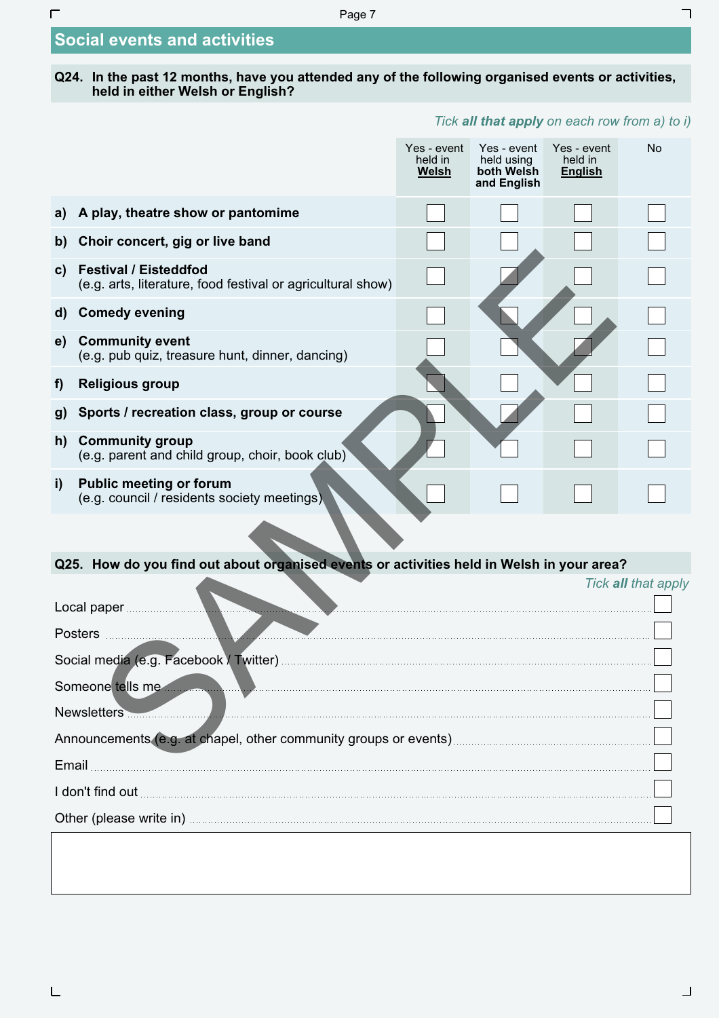Page 7

# **Social events and activities**

 $\overline{\Gamma}$ 

#### **Q24. In the past 12 months, have you attended any of the following organised events or activities, held in either Welsh or English?**

## *Tick all that apply on each row from a) to i)*

┑

|              |                                                                                             | Yes - event<br>held in<br><b>Welsh</b> | Yes - event<br>held using<br>both Welsh<br>and English | Yes - event<br>held in<br><b>English</b> | <b>No</b>           |  |  |  |
|--------------|---------------------------------------------------------------------------------------------|----------------------------------------|--------------------------------------------------------|------------------------------------------|---------------------|--|--|--|
| a)           | A play, theatre show or pantomime                                                           |                                        |                                                        |                                          |                     |  |  |  |
| b)           | Choir concert, gig or live band                                                             |                                        |                                                        |                                          |                     |  |  |  |
| $\mathbf{c}$ | <b>Festival / Eisteddfod</b><br>(e.g. arts, literature, food festival or agricultural show) |                                        |                                                        |                                          |                     |  |  |  |
| $\mathsf{d}$ | <b>Comedy evening</b>                                                                       |                                        |                                                        |                                          |                     |  |  |  |
| e)           | <b>Community event</b><br>(e.g. pub quiz, treasure hunt, dinner, dancing)                   |                                        |                                                        |                                          |                     |  |  |  |
| f)           | <b>Religious group</b>                                                                      |                                        |                                                        |                                          |                     |  |  |  |
| g)           | Sports / recreation class, group or course                                                  |                                        |                                                        |                                          |                     |  |  |  |
| h)           | <b>Community group</b><br>(e.g. parent and child group, choir, book club)                   |                                        |                                                        |                                          |                     |  |  |  |
| i)           | <b>Public meeting or forum</b><br>(e.g. council / residents society meetings)               |                                        |                                                        |                                          |                     |  |  |  |
|              |                                                                                             |                                        |                                                        |                                          |                     |  |  |  |
|              | Q25. How do you find out about organised events or activities held in Welsh in your area?   |                                        |                                                        |                                          |                     |  |  |  |
|              |                                                                                             |                                        |                                                        |                                          | Tick all that apply |  |  |  |
|              | Posters <b>Management Prosters</b>                                                          |                                        |                                                        |                                          |                     |  |  |  |
|              |                                                                                             |                                        |                                                        |                                          |                     |  |  |  |
|              | Someone tells me                                                                            |                                        |                                                        |                                          |                     |  |  |  |
|              | Newsletters                                                                                 |                                        |                                                        |                                          |                     |  |  |  |
|              |                                                                                             |                                        |                                                        |                                          |                     |  |  |  |
| Email        |                                                                                             |                                        |                                                        |                                          |                     |  |  |  |

I don't find out

Other (please write in) **COLORET (please write in**)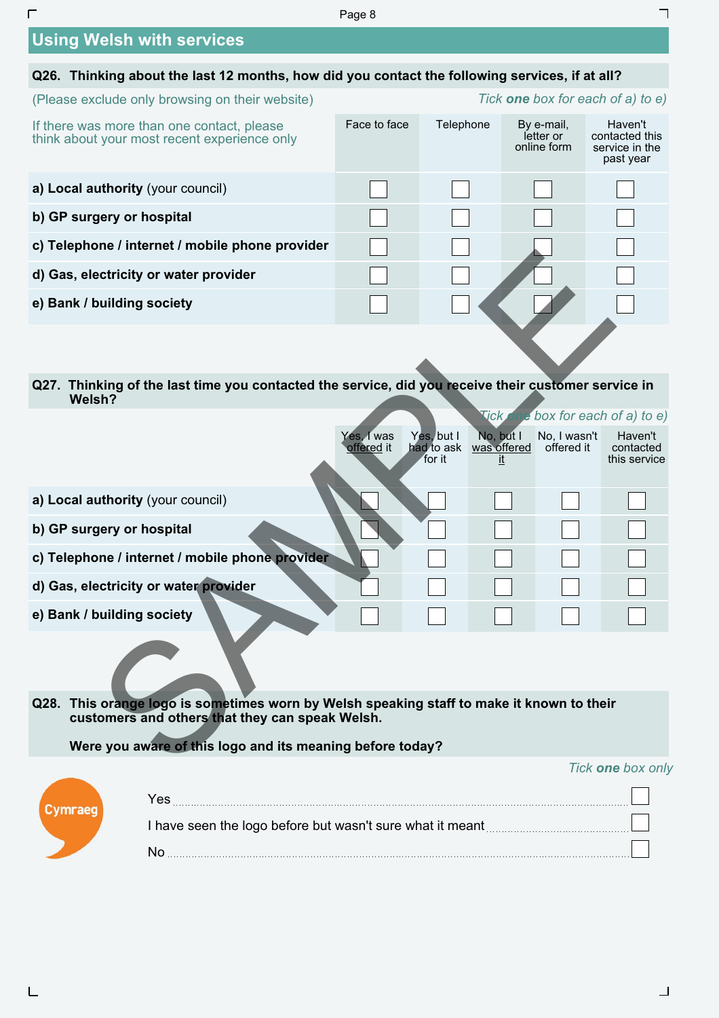#### Page 8

# **Using Welsh with services**

 $\Gamma$ 

 $\sqcup$ 

| Q26. Thinking about the last 12 months, how did you contact the following services, if at all? |              |                                          |                                        |                                                          |  |  |  |  |
|------------------------------------------------------------------------------------------------|--------------|------------------------------------------|----------------------------------------|----------------------------------------------------------|--|--|--|--|
| (Please exclude only browsing on their website)                                                |              | Tick <b>one</b> box for each of a) to e) |                                        |                                                          |  |  |  |  |
| If there was more than one contact, please<br>think about your most recent experience only     | Face to face | Telephone                                | By e-mail,<br>letter or<br>online form | Haven't<br>contacted this<br>service in the<br>past year |  |  |  |  |
| a) Local authority (your council)                                                              |              |                                          |                                        |                                                          |  |  |  |  |
| b) GP surgery or hospital                                                                      |              |                                          |                                        |                                                          |  |  |  |  |
| c) Telephone / internet / mobile phone provider                                                |              |                                          |                                        |                                                          |  |  |  |  |
| d) Gas, electricity or water provider                                                          |              |                                          |                                        |                                                          |  |  |  |  |
| e) Bank / building society                                                                     |              |                                          |                                        |                                                          |  |  |  |  |
|                                                                                                |              |                                          |                                        |                                                          |  |  |  |  |

| c) releptione / internet / inopile phone provider                                                             |                                                                                                                                              |                                    |                          |                            |                                      |  |  |
|---------------------------------------------------------------------------------------------------------------|----------------------------------------------------------------------------------------------------------------------------------------------|------------------------------------|--------------------------|----------------------------|--------------------------------------|--|--|
| d) Gas, electricity or water provider                                                                         |                                                                                                                                              |                                    |                          |                            |                                      |  |  |
| e) Bank / building society                                                                                    |                                                                                                                                              |                                    |                          |                            |                                      |  |  |
|                                                                                                               |                                                                                                                                              |                                    |                          |                            |                                      |  |  |
| Q27. Thinking of the last time you contacted the service, did you receive their customer service in<br>Welsh? |                                                                                                                                              |                                    |                          |                            |                                      |  |  |
|                                                                                                               |                                                                                                                                              |                                    | <b>Tick</b>              | e box for each of a) to e) |                                      |  |  |
|                                                                                                               | Yes, I was<br>offered it                                                                                                                     | Yes, but I<br>had to ask<br>for it | No, but I<br>was offered | No, I wasn't<br>offered it | Haven't<br>contacted<br>this service |  |  |
| a) Local authority (your council)                                                                             |                                                                                                                                              |                                    |                          |                            |                                      |  |  |
| b) GP surgery or hospital                                                                                     |                                                                                                                                              |                                    |                          |                            |                                      |  |  |
| c) Telephone / internet / mobile phone provider                                                               |                                                                                                                                              |                                    |                          |                            |                                      |  |  |
| d) Gas, electricity or water provider                                                                         |                                                                                                                                              |                                    |                          |                            |                                      |  |  |
| e) Bank / building society                                                                                    |                                                                                                                                              |                                    |                          |                            |                                      |  |  |
|                                                                                                               |                                                                                                                                              |                                    |                          |                            |                                      |  |  |
|                                                                                                               | Q28. This orange logo is sometimes worn by Welsh speaking staff to make it known to their<br>customers and others that they can speak Welsh. |                                    |                          |                            |                                      |  |  |
| Were you aware of this logo and its meaning before today?                                                     |                                                                                                                                              |                                    |                          |                            |                                      |  |  |
|                                                                                                               |                                                                                                                                              |                                    |                          |                            | Tick one hoy only                    |  |  |

### **Were you aware of this logo and its meaning before today?**

#### *Tick one box only*

٦

| I have seen the logo before but wasn't sure what it meant |
|-----------------------------------------------------------|
|                                                           |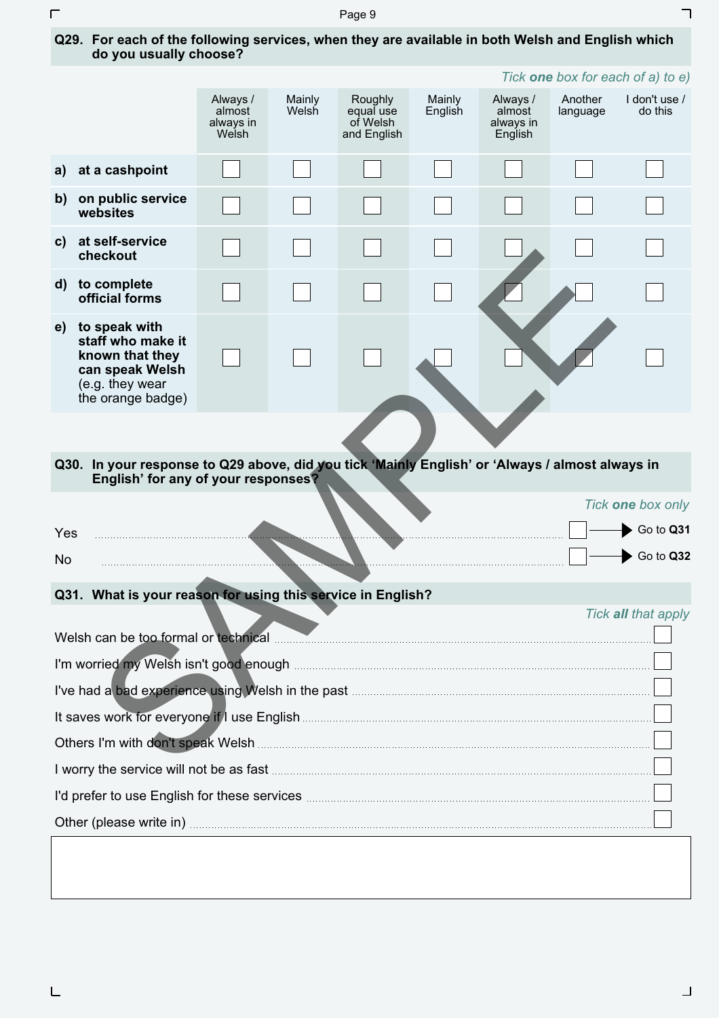Page 9

| Q29. For each of the following services, when they are available in both Welsh and English which |  |
|--------------------------------------------------------------------------------------------------|--|
| do you usually choose?                                                                           |  |

|              | <i>TICK <b>one</b> dox for each of a) to e</i> )                                                                                  |                                          |                 |                                                 |                   |                                            |                     |                          |  |
|--------------|-----------------------------------------------------------------------------------------------------------------------------------|------------------------------------------|-----------------|-------------------------------------------------|-------------------|--------------------------------------------|---------------------|--------------------------|--|
|              |                                                                                                                                   | Always /<br>almost<br>always in<br>Welsh | Mainly<br>Welsh | Roughly<br>equal use<br>of Welsh<br>and English | Mainly<br>English | Always /<br>almost<br>always in<br>English | Another<br>language | I don't use /<br>do this |  |
| a)           | at a cashpoint                                                                                                                    |                                          |                 |                                                 |                   |                                            |                     |                          |  |
| b)           | on public service<br>websites                                                                                                     |                                          |                 |                                                 |                   |                                            |                     |                          |  |
| C)           | at self-service<br>checkout                                                                                                       |                                          |                 |                                                 |                   |                                            |                     |                          |  |
| $\mathsf{d}$ | to complete<br>official forms                                                                                                     |                                          |                 |                                                 |                   |                                            |                     |                          |  |
| e)           | to speak with<br>staff who make it<br>known that they<br>can speak Welsh<br>(e.g. they wear<br>the orange badge)                  |                                          |                 |                                                 |                   |                                            |                     |                          |  |
|              |                                                                                                                                   |                                          |                 |                                                 |                   |                                            |                     |                          |  |
| Q30.         | In your response to Q29 above, did you tick 'Mainly English' or 'Always / almost always in<br>English' for any of your responses? |                                          |                 |                                                 |                   |                                            |                     |                          |  |
| No           | Tick one box only<br>Go to Q31<br>Yes<br>Go to Q32                                                                                |                                          |                 |                                                 |                   |                                            |                     |                          |  |
|              | Q31. What is your reason for using this service in English?                                                                       |                                          |                 |                                                 |                   |                                            |                     |                          |  |
|              | Tick all that apply                                                                                                               |                                          |                 |                                                 |                   |                                            |                     |                          |  |
|              |                                                                                                                                   |                                          |                 |                                                 |                   |                                            |                     |                          |  |
|              | I've had a bad experience using Welsh in the past <b>Communities</b> and a bad a bad experience of                                |                                          |                 |                                                 |                   |                                            |                     |                          |  |
|              |                                                                                                                                   |                                          |                 |                                                 |                   |                                            |                     |                          |  |
|              | the convice will not be go foot                                                                                                   |                                          |                 |                                                 |                   |                                            |                     |                          |  |

#### **Q30. In your response to Q29 above, did you tick 'Mainly English' or 'Always / almost always in English' for any of your responses?**

*Tick one box for each of a) to e)* 

┑

| Yes       |   | Go to Q31       |
|-----------|---|-----------------|
| <b>No</b> | . | Q <sub>32</sub> |

## **Q31. What is your reason for using this service in English?**

|                                                                                                                                                                                                                                      | Tick all that apply |
|--------------------------------------------------------------------------------------------------------------------------------------------------------------------------------------------------------------------------------------|---------------------|
| Welsh can be too formal or technical                                                                                                                                                                                                 |                     |
| I'm worried my Welsh isn't good enough manufactured and an arrangement of the worried my Welsh isn't good enough                                                                                                                     |                     |
| I've had a bad experience using Welsh in the past <b>Community and a bad experience</b> [3]                                                                                                                                          |                     |
| It saves work for everyone if I use English <b>Constitution and the example of the saves</b> work for everyone if I use                                                                                                              |                     |
|                                                                                                                                                                                                                                      |                     |
| I worry the service will not be as fast <b>contract the contract of the service will not be as fast</b>                                                                                                                              |                     |
| I'd prefer to use English for these services <b>Constanting the contract of the Service State of the Service</b> State of the Service of the Service of the Service of the Service of the Service of the Service of the Service of   |                     |
| Other (please write in) <b>contained a set of the contact of the contact of the contact of the contact of the contact of the contact of the contact of the contact of the contact of the contact of the contact of the contact o</b> |                     |

 $\Gamma$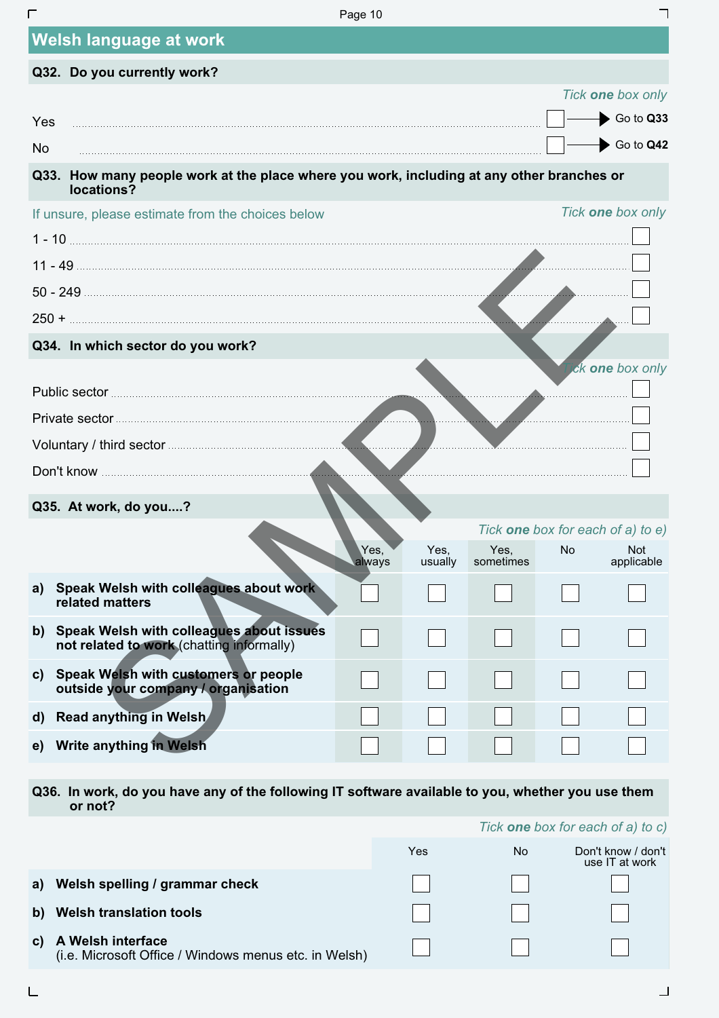| г            |                                                                                                         | Page 10 |         |           |    |                                                 |  |
|--------------|---------------------------------------------------------------------------------------------------------|---------|---------|-----------|----|-------------------------------------------------|--|
|              | <b>Welsh language at work</b>                                                                           |         |         |           |    |                                                 |  |
|              | Q32. Do you currently work?                                                                             |         |         |           |    |                                                 |  |
|              |                                                                                                         |         |         |           |    | Tick one box only                               |  |
| Yes          |                                                                                                         |         |         |           |    | Go to Q33                                       |  |
| <b>No</b>    |                                                                                                         |         |         |           |    | Go to Q42                                       |  |
|              | Q33. How many people work at the place where you work, including at any other branches or<br>locations? |         |         |           |    |                                                 |  |
|              | If unsure, please estimate from the choices below                                                       |         |         |           |    | Tick one box only                               |  |
|              |                                                                                                         |         |         |           |    |                                                 |  |
|              |                                                                                                         |         |         |           |    |                                                 |  |
|              |                                                                                                         |         |         |           |    |                                                 |  |
|              |                                                                                                         |         |         | المناب    |    |                                                 |  |
|              | Q34. In which sector do you work?                                                                       |         |         |           |    |                                                 |  |
|              |                                                                                                         |         |         |           |    | ick one box only                                |  |
|              | Public sector <b>Manual Constitution Public sector</b>                                                  |         |         |           |    |                                                 |  |
|              | Private sector <b>Manual</b>                                                                            |         |         |           |    |                                                 |  |
|              |                                                                                                         |         |         |           |    |                                                 |  |
|              |                                                                                                         | .<br>.  |         |           |    |                                                 |  |
|              | Q35. At work, do you?                                                                                   |         |         |           |    |                                                 |  |
|              |                                                                                                         | Yes,    | Yes,    | Yes,      | No | Tick one box for each of a) to e)<br><b>Not</b> |  |
|              |                                                                                                         | always  | usually | sometimes |    | applicable                                      |  |
| a)           | Speak Welsh with colleagues about work<br>related matters                                               |         |         |           |    |                                                 |  |
|              | b) Speak Welsh with colleagues about issues<br>not related to work (chatting informally)                |         |         |           |    |                                                 |  |
| C)           | Speak Welsh with customers or people<br>outside your company / organisation                             |         |         |           |    |                                                 |  |
| $\mathbf{d}$ | <b>Read anything in Welsh</b>                                                                           |         |         |           |    |                                                 |  |
| e)           | <b>Write anything in Welsh</b>                                                                          |         |         |           |    |                                                 |  |
|              |                                                                                                         |         |         |           |    |                                                 |  |

**Q36. In work, do you have any of the following IT software available to you, whether you use them or not?** 

|    |                                                                            |     | Tick <b>one</b> box for each of a) to c) |                                      |  |
|----|----------------------------------------------------------------------------|-----|------------------------------------------|--------------------------------------|--|
|    |                                                                            | Yes | No.                                      | Don't know / don't<br>use IT at work |  |
| a) | Welsh spelling / grammar check                                             |     |                                          |                                      |  |
| b) | <b>Welsh translation tools</b>                                             |     |                                          |                                      |  |
|    | A Welsh interface<br>(i.e. Microsoft Office / Windows menus etc. in Welsh) |     |                                          |                                      |  |

 $\overline{L}$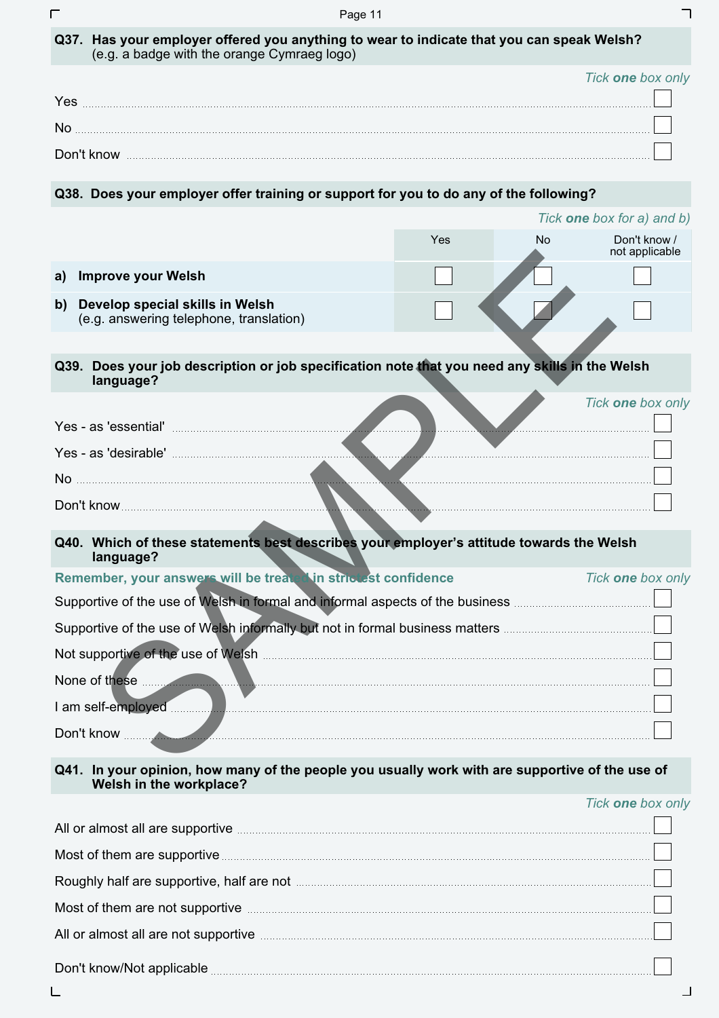| Q37. Has your employer offered you anything to wear to indicate that you can speak Welsh? |
|-------------------------------------------------------------------------------------------|
| (e.g. a badge with the orange Cymraeg logo)                                               |

|            | Tick <b>one</b> box only |
|------------|--------------------------|
| Yes        |                          |
| No         |                          |
| Don't know |                          |

## **Q38. Does your employer offer training or support for you to do any of the following?**

|    |                                                                                                                                                                                                                                      |     |           | Tick <b>one</b> box for a) and b) |
|----|--------------------------------------------------------------------------------------------------------------------------------------------------------------------------------------------------------------------------------------|-----|-----------|-----------------------------------|
|    |                                                                                                                                                                                                                                      | Yes | <b>No</b> | Don't know /<br>not applicable    |
| a) | <b>Improve your Welsh</b>                                                                                                                                                                                                            |     |           |                                   |
| b) | Develop special skills in Welsh<br>(e.g. answering telephone, translation)                                                                                                                                                           |     |           |                                   |
|    |                                                                                                                                                                                                                                      |     |           |                                   |
|    | Q39. Does your job description or job specification note that you need any skills in the Welsh<br>language?                                                                                                                          |     |           |                                   |
|    |                                                                                                                                                                                                                                      |     |           | Tick one box only                 |
|    | Yes - as 'essential' <b>Exercise According to the Second According to the Contract of According to the Contract of According to the Contract of According to the Contract of According to the Contract of According to the Contr</b> |     |           |                                   |
|    | Yes - as 'desirable' <b>All any Second Contract of the Second Contract of the Second Contract of the Second Contract of the Second Contract of the Second Contract of the Second Contract of the Second Contract of the Second C</b> |     |           |                                   |
|    | No <u>the contract of the contract of the contract of the contract of the contract of the contract of the contract of the contract of the contract of the contract of the contract of the contract of the contract of the contra</u> |     |           |                                   |
|    |                                                                                                                                                                                                                                      |     |           |                                   |
|    | Q40. Which of these statements best describes your employer's attitude towards the Welsh<br>language?                                                                                                                                |     |           |                                   |
|    | Remember, your answers will be treater in strictest confidence                                                                                                                                                                       |     |           | Tick one box only                 |
|    | Supportive of the use of Welsh in formal and informal aspects of the business <b>multiples</b> of the use of the use of                                                                                                              |     |           |                                   |
|    | Supportive of the use of Welsh informally but not in formal business matters <b>metrics</b> and the use of Welsh informally but not in formal business matters <b>metalling</b>                                                      |     |           |                                   |
|    | Not supportive of the use of Welsh <b>Commission Commission</b> and the supportive of the use of Welsh <b>Commission</b>                                                                                                             |     |           |                                   |
|    | None of these <b>we are all the service of these</b> with the service of the service of the service of the service of the service of the service of the service of the service of the service of the service of the service of the   |     |           |                                   |
|    |                                                                                                                                                                                                                                      |     |           |                                   |
|    | Don't know                                                                                                                                                                                                                           |     |           |                                   |
|    | sistem ikeu menuraf the needle yeu yeuelly wadu with ene expenditus ef the ye<br>$\bigcap$ <i>AA</i> $\bigcup_{i=1}^{n}$ . $i=1,2,3,4,5,5$                                                                                           |     |           |                                   |

#### **Q41. In your opinion, how many of the people you usually work with are supportive of the use of Welsh in the workplace?**

### *Tick one box only*

| All or almost all are supportive <b>contract and all are supportive</b> and all or almost all are supportive contract and all are supportive contract and all are supportive contract and all are supportive contract and all are s |
|-------------------------------------------------------------------------------------------------------------------------------------------------------------------------------------------------------------------------------------|
| Most of them are supportive <b>contained and the contact of them are supportive</b> contact to the supportive contact to the contact of them are supportive contact to the contact of the contact of the contact of the contact of  |
| Roughly half are supportive, half are not manufactured and an architecture and are supportive, half are not                                                                                                                         |
| Most of them are not supportive <b>contained and the contact of them are not supportive</b>                                                                                                                                         |
| All or almost all are not supportive manufactured and all or almost all are not supportive manufactured and all                                                                                                                     |
| Don't know/Not applicable                                                                                                                                                                                                           |

 $\overline{\Gamma}$ 

 $\overline{\phantom{a}}$